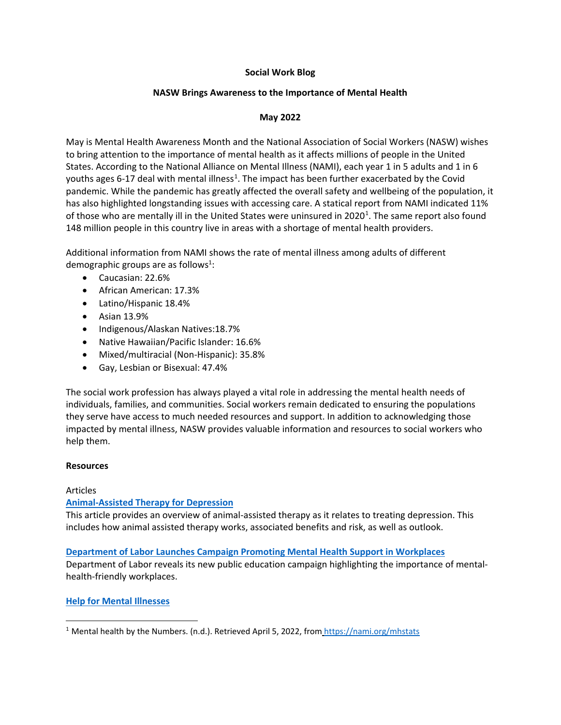# **Social Work Blog**

# **NASW Brings Awareness to the Importance of Mental Health**

# **May 2022**

May is Mental Health Awareness Month and the National Association of Social Workers (NASW) wishes to bring attention to the importance of mental health as it affects millions of people in the United States. According to the National Alliance on Mental Illness (NAMI), each year 1 in 5 adults and 1 in 6 youths ages 6-[1](#page-0-0)7 deal with mental illness<sup>1</sup>. The impact has been further exacerbated by the Covid pandemic. While the pandemic has greatly affected the overall safety and wellbeing of the population, it has also highlighted longstanding issues with accessing care. A statical report from NAMI indicated 11% of those who are mentally ill in the United States were uninsured in 2020<sup>[1](#page-0-1)</sup>. The same report also found 148 million people in this country live in areas with a shortage of mental health providers.

Additional information from NAMI shows the rate of mental illness among adults of different demographic groups are as follows<sup>1</sup>:

- Caucasian: 22.6%
- African American: 17.3%
- Latino/Hispanic 18.4%
- Asian 13.9%
- Indigenous/Alaskan Natives:18.7%
- Native Hawaiian/Pacific Islander: 16.6%
- Mixed/multiracial (Non-Hispanic): 35.8%
- Gay, Lesbian or Bisexual: 47.4%

The social work profession has always played a vital role in addressing the mental health needs of individuals, families, and communities. Social workers remain dedicated to ensuring the populations they serve have access to much needed resources and support. In addition to acknowledging those impacted by mental illness, NASW provides valuable information and resources to social workers who help them.

# **Resources**

# Articles

 $\overline{\phantom{a}}$ 

# **[Animal-Assisted Therapy for Depression](https://www.healthline.com/health/depression/animal-assisted-therapy#pros-and-cons)**

This article provides an overview of animal-assisted therapy as it relates to treating depression. This includes how animal assisted therapy works, associated benefits and risk, as well as outlook.

**Department of Labor [Launches Campaign Promoting Mental Health Support in Workplaces](https://www.shrm.org/resourcesandtools/hr-topics/behavioral-competencies/global-and-cultural-effectiveness/pages/dol-launches-campaign-promoting-mental-health-support-in-workplaces.aspx)** Department of Labor reveals its new public education campaign highlighting the importance of mentalhealth-friendly workplaces.

# **[Help for Mental Illnesses](https://www.nimh.nih.gov/health/find-help)**

<span id="page-0-1"></span><span id="page-0-0"></span><sup>&</sup>lt;sup>1</sup> Mental health by the Numbers. (n.d.). Retrieved April 5, 2022, from <https://nami.org/mhstats>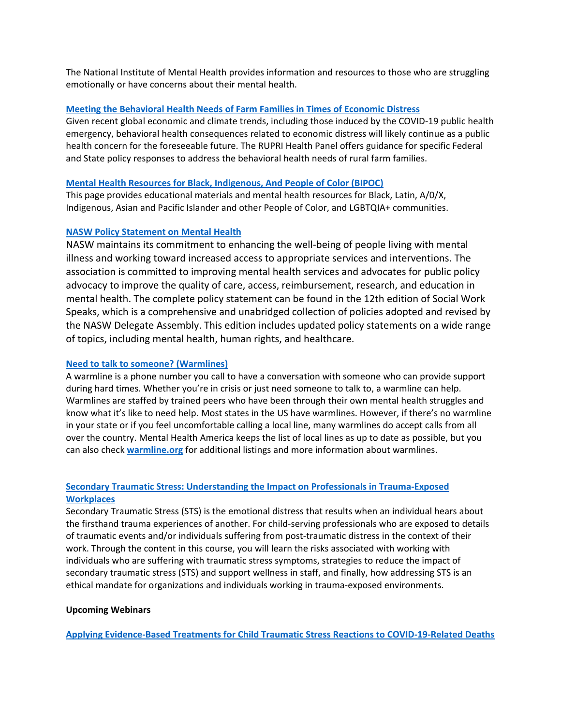The National Institute of Mental Health provides information and resources to those who are struggling emotionally or have concerns about their mental health.

# **[Meeting the Behavioral Health Needs of Farm Families in Times of Economic Distress](https://rupri.org/wp-content/uploads/Economic-Disruption-brief-4-February-2022.pdf)**

Given recent global economic and climate trends, including those induced by the COVID-19 public health emergency, behavioral health consequences related to economic distress will likely continue as a public health concern for the foreseeable future. The RUPRI Health Panel offers guidance for specific Federal and State policy responses to address the behavioral health needs of rural farm families.

#### **Mental Health Resources for [Black, Indigenous, And People of](https://mhanational.org/bipoc-mental-health) Color (BIPOC)**

This page provides educational materials and mental health resources for Black, Latin, A/0/X, Indigenous, Asian and Pacific Islander and other People of Color, and LGBTQIA+ communities.

#### **[NASW Policy Statement on Mental Health](https://naswpress.org/product/53653/social-work-speaks-12th-edition)**

NASW maintains its commitment to enhancing the well-being of people living with mental illness and working toward increased access to appropriate services and interventions. The association is committed to improving mental health services and advocates for public policy advocacy to improve the quality of care, access, reimbursement, research, and education in mental health. The complete policy statement can be found in the 12th edition of Social Work Speaks, which is a comprehensive and unabridged collection of policies adopted and revised by the NASW Delegate Assembly. This edition includes updated policy statements on a wide range of topics, including mental health, human rights, and healthcare.

#### **[Need to talk to someone? \(Warmlines\)](https://screening.mhanational.org/content/need-talk-someone-warmlines/)**

A warmline is a phone number you call to have a conversation with someone who can provide support during hard times. Whether you're in crisis or just need someone to talk to, a warmline can help. Warmlines are staffed by trained peers who have been through their own mental health struggles and know what it's like to need help. Most states in the US have warmlines. However, if there's no warmline in your state or if you feel uncomfortable calling a local line, many warmlines do accept calls from all over the country. Mental Health America keeps the list of local lines as up to date as possible, but you can also check **[warmline.org](https://warmline.org/warmdir.html#directory)** for additional listings and more information about warmlines.

# **[Secondary Traumatic Stress: Understanding the](https://www.nctsn.org/resources/secondary-traumatic-stress-understanding-the-impact-on-professionals-in-trauma-exposed-workplaces) Impact on Professionals in Trauma-Exposed [Workplaces](https://www.nctsn.org/resources/secondary-traumatic-stress-understanding-the-impact-on-professionals-in-trauma-exposed-workplaces)**

Secondary Traumatic Stress (STS) is the emotional distress that results when an individual hears about the firsthand trauma experiences of another. For child-serving professionals who are exposed to details of traumatic events and/or individuals suffering from post-traumatic distress in the context of their work. Through the content in this course, you will learn the risks associated with working with individuals who are suffering with traumatic stress symptoms, strategies to reduce the impact of secondary traumatic stress (STS) and support wellness in staff, and finally, how addressing STS is an ethical mandate for organizations and individuals working in trauma-exposed environments.

#### **Upcoming Webinars**

**[Applying Evidence-Based Treatments for Child Traumatic Stress Reactions to COVID-19-Related Deaths](https://www.nctsn.org/resources/applying-evidence-based-treatments-for-child-traumatic-stress-reactions-to-covid-19-related-deaths)**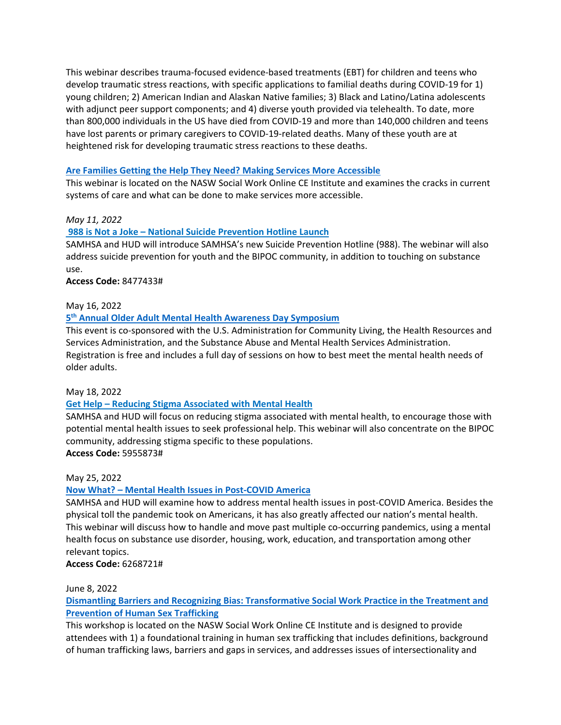This webinar describes trauma-focused evidence-based treatments (EBT) for children and teens who develop traumatic stress reactions, with specific applications to familial deaths during COVID-19 for 1) young children; 2) American Indian and Alaskan Native families; 3) Black and Latino/Latina adolescents with adjunct peer support components; and 4) diverse youth provided via telehealth. To date, more than 800,000 individuals in the US have died from COVID-19 and more than 140,000 children and teens have lost parents or primary caregivers to COVID-19-related deaths. Many of these youth are at heightened risk for developing traumatic stress reactions to these deaths.

### **[Are Families Getting the Help They Need? Making Services More Accessible](https://naswinstitute.inreachce.com/Details/Information/74492f74-3463-498e-b397-0805cf470eab)**

This webinar is located on the NASW Social Work Online CE Institute and examines the cracks in current systems of care and what can be done to make services more accessible.

# *May 11, 2022*

### **[988 is Not a Joke – National Suicide Prevention Hotline Launch](https://ems8.intellor.com/login/843001)**

SAMHSA and HUD will introduce SAMHSA's new Suicide Prevention Hotline (988). The webinar will also address suicide prevention for youth and the BIPOC community, in addition to touching on substance use.

### **Access Code:** 8477433#

### May 16, 2022

### **5th [Annual Older Adult Mental Health Awareness Day Symposium](https://connect.ncoa.org/oamhad2022?utm_source=newsletter&utm_medium=email&utm_campaign=CHA)**

This event is co-sponsored with the U.S. Administration for Community Living, the Health Resources and Services Administration, and the Substance Abuse and Mental Health Services Administration. Registration is free and includes a full day of sessions on how to best meet the mental health needs of older adults.

### May 18, 2022

# **[Get Help – Reducing Stigma Associated with Mental Health](https://ems8.intellor.com/login/843003)**

SAMHSA and HUD will focus on reducing stigma associated with mental health, to encourage those with potential mental health issues to seek professional help. This webinar will also concentrate on the BIPOC community, addressing stigma specific to these populations. **Access Code:** 5955873#

### May 25, 2022

# **[Now What? – Mental Health Issues in Post-COVID America](https://ems8.intellor.com/login/843005)**

SAMHSA and HUD will examine how to address mental health issues in post-COVID America. Besides the physical toll the pandemic took on Americans, it has also greatly affected our nation's mental health. This webinar will discuss how to handle and move past multiple co-occurring pandemics, using a mental health focus on substance use disorder, housing, work, education, and transportation among other relevant topics.

# **Access Code:** 6268721#

### June 8, 2022

**[Dismantling Barriers and Recognizing Bias: Transformative Social Work Practice in the Treatment and](https://naswinstitute.inreachce.com/Details/Information/6ef6fe47-390d-46c1-b3d8-09635dfe62d4)  [Prevention of Human Sex Trafficking](https://naswinstitute.inreachce.com/Details/Information/6ef6fe47-390d-46c1-b3d8-09635dfe62d4)**

This workshop is located on the NASW Social Work Online CE Institute and is designed to provide attendees with 1) a foundational training in human sex trafficking that includes definitions, background of human trafficking laws, barriers and gaps in services, and addresses issues of intersectionality and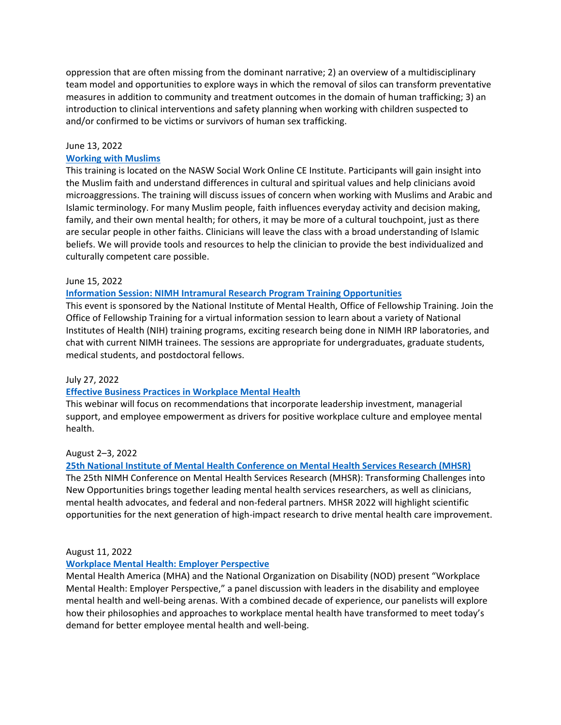oppression that are often missing from the dominant narrative; 2) an overview of a multidisciplinary team model and opportunities to explore ways in which the removal of silos can transform preventative measures in addition to community and treatment outcomes in the domain of human trafficking; 3) an introduction to clinical interventions and safety planning when working with children suspected to and/or confirmed to be victims or survivors of human sex trafficking.

# June 13, 2022

### **[Working with Muslims](https://naswinstitute.inreachce.com/Details/Information/71eba6ba-e3bb-4f88-9692-08e86bb4234c)**

This training is located on the NASW Social Work Online CE Institute. Participants will gain insight into the Muslim faith and understand differences in cultural and spiritual values and help clinicians avoid microaggressions. The training will discuss issues of concern when working with Muslims and Arabic and Islamic terminology. For many Muslim people, faith influences everyday activity and decision making, family, and their own mental health; for others, it may be more of a cultural touchpoint, just as there are secular people in other faiths. Clinicians will leave the class with a broad understanding of Islamic beliefs. We will provide tools and resources to help the clinician to provide the best individualized and culturally competent care possible.

### June 15, 2022

### **[Information Session: NIMH Intramural Research Program Training Opportunities](https://www.nimh.nih.gov/news/events/announcements/information-session-nimh-intramural-research-program-training-opportunities-0)**

This event is sponsored by the National Institute of Mental Health, Office of Fellowship Training. Join the Office of Fellowship Training for a virtual information session to learn about a variety of National Institutes of Health (NIH) training programs, exciting research being done in NIMH IRP laboratories, and chat with current NIMH trainees. The sessions are appropriate for undergraduates, graduate students, medical students, and postdoctoral fellows.

### July 27, 2022

# **[Effective Business Practices in Workplace Mental Health](https://www.mhanational.org/events/effective-business-practices-workplace-mental-health)**

This webinar will focus on recommendations that incorporate leadership investment, managerial support, and employee empowerment as drivers for positive workplace culture and employee mental health.

### August 2–3, 2022

# **[25th National Institute of Mental Health Conference on Mental Health Services Research \(MHSR\)](https://www.nimh.nih.gov/news/events/announcements/25th-nimh-conference-on-mental-health-services-research-mhsr)**

The 25th NIMH Conference on Mental Health Services Research (MHSR): Transforming Challenges into New Opportunities brings together leading mental health services researchers, as well as clinicians, mental health advocates, and federal and non-federal partners. MHSR 2022 will highlight scientific opportunities for the next generation of high-impact research to drive mental health care improvement.

### August 11, 2022

### **[Workplace Mental Health: Employer Perspective](https://www.mhanational.org/events/workplace-mental-health-employer-perspective)**

Mental Health America (MHA) and the National Organization on Disability (NOD) present "Workplace Mental Health: Employer Perspective," a panel discussion with leaders in the disability and employee mental health and well-being arenas. With a combined decade of experience, our panelists will explore how their philosophies and approaches to workplace mental health have transformed to meet today's demand for better employee mental health and well-being.